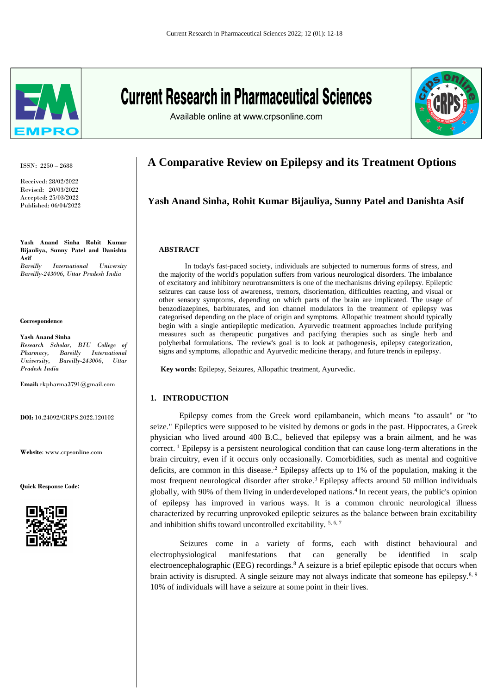

ISSN: 2250 – 2688

Received: 28/02/2022 Revised: 20/03/2022 Accepted: 25/03/2022 Published: 06/04/2022

**Yash Anand Sinha Rohit Kumar Bijauliya, Sunny Patel and Danishta Asif** *Bareilly International University Bareilly-243006, Uttar Pradesh India*

#### **Correspondence**

**Yash Anand Sinha** *Research Scholar, BIU College of Pharmacy, Bareilly International University, Bareilly-243006, Uttar Pradesh India*

**Email:** rkpharma3791@gmail.com

**DOI:** 10.24092/CRPS.2022.120102

**Website**: www.crpsonline.com

**Quick Response Code:**



# **Current Research in Pharmaceutical Sciences**





# **A Comparative Review on Epilepsy and its Treatment Options**

#### **Yash Anand Sinha, Rohit Kumar Bijauliya, Sunny Patel and Danishta Asif**

#### **ABSTRACT**

 In today's fast-paced society, individuals are subjected to numerous forms of stress, and the majority of the world's population suffers from various neurological disorders. The imbalance of excitatory and inhibitory neurotransmitters is one of the mechanisms driving epilepsy. Epileptic seizures can cause loss of awareness, tremors, disorientation, difficulties reacting, and visual or other sensory symptoms, depending on which parts of the brain are implicated. The usage of benzodiazepines, barbiturates, and ion channel modulators in the treatment of epilepsy was categorised depending on the place of origin and symptoms. Allopathic treatment should typically begin with a single antiepileptic medication. Ayurvedic treatment approaches include purifying measures such as therapeutic purgatives and pacifying therapies such as single herb and polyherbal formulations. The review's goal is to look at pathogenesis, epilepsy categorization, signs and symptoms, allopathic and Ayurvedic medicine therapy, and future trends in epilepsy.

**Key words**: Epilepsy, Seizures, Allopathic treatment, Ayurvedic.

#### **1. INTRODUCTION**

 Epilepsy comes from the Greek word epilambanein, which means "to assault" or "to seize." Epileptics were supposed to be visited by demons or gods in the past. Hippocrates, a Greek physician who lived around 400 B.C., believed that epilepsy was a brain ailment, and he was correct.<sup>1</sup> Epilepsy is a persistent neurological condition that can cause long-term alterations in the brain circuitry, even if it occurs only occasionally. Comorbidities, such as mental and cognitive deficits, are common in this disease.<sup>2</sup> Epilepsy affects up to 1% of the population, making it the most frequent neurological disorder after stroke.<sup>3</sup> Epilepsy affects around 50 million individuals globally, with 90% of them living in underdeveloped nations.<sup>4</sup>In recent years, the public's opinion of epilepsy has improved in various ways. It is a common chronic neurological illness characterized by recurring unprovoked epileptic seizures as the balance between brain excitability and inhibition shifts toward uncontrolled excitability. 5, 6, 7

Seizures come in a variety of forms, each with distinct behavioural and electrophysiological manifestations that can generally be identified in scalp electroencephalographic (EEG) recordings.<sup>8</sup> A seizure is a brief epileptic episode that occurs when brain activity is disrupted. A single seizure may not always indicate that someone has epilepsy.<sup>8, 9</sup> 10% of individuals will have a seizure at some point in their lives.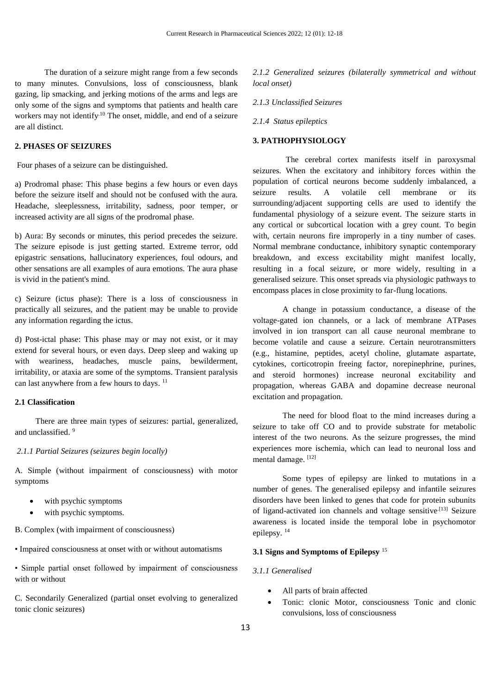The duration of a seizure might range from a few seconds to many minutes. Convulsions, loss of consciousness, blank gazing, lip smacking, and jerking motions of the arms and legs are only some of the signs and symptoms that patients and health care workers may not identify<sup>10</sup> The onset, middle, and end of a seizure are all distinct.

#### **2. PHASES OF SEIZURES**

Four phases of a seizure can be distinguished.

a) Prodromal phase: This phase begins a few hours or even days before the seizure itself and should not be confused with the aura. Headache, sleeplessness, irritability, sadness, poor temper, or increased activity are all signs of the prodromal phase.

b) Aura: By seconds or minutes, this period precedes the seizure. The seizure episode is just getting started. Extreme terror, odd epigastric sensations, hallucinatory experiences, foul odours, and other sensations are all examples of aura emotions. The aura phase is vivid in the patient's mind.

c) Seizure (ictus phase): There is a loss of consciousness in practically all seizures, and the patient may be unable to provide any information regarding the ictus.

d) Post-ictal phase: This phase may or may not exist, or it may extend for several hours, or even days. Deep sleep and waking up with weariness, headaches, muscle pains, bewilderment, irritability, or ataxia are some of the symptoms. Transient paralysis can last anywhere from a few hours to days.<sup>11</sup>

#### **2.1 Classification**

 There are three main types of seizures: partial, generalized, and unclassified.<sup>9</sup>

#### *2.1.1 Partial Seizures (seizures begin locally)*

A. Simple (without impairment of consciousness) with motor symptoms

- with psychic symptoms
- with psychic symptoms.

B. Complex (with impairment of consciousness)

• Impaired consciousness at onset with or without automatisms

• Simple partial onset followed by impairment of consciousness with or without

C. Secondarily Generalized (partial onset evolving to generalized tonic clonic seizures)

*2.1.2 Generalized seizures (bilaterally symmetrical and without local onset)* 

*2.1.3 Unclassified Seizures* 

*2.1.4 Status epileptics* 

#### **3. PATHOPHYSIOLOGY**

 The cerebral cortex manifests itself in paroxysmal seizures. When the excitatory and inhibitory forces within the population of cortical neurons become suddenly imbalanced, a seizure results. A volatile cell membrane or its surrounding/adjacent supporting cells are used to identify the fundamental physiology of a seizure event. The seizure starts in any cortical or subcortical location with a grey count. To begin with, certain neurons fire improperly in a tiny number of cases. Normal membrane conductance, inhibitory synaptic contemporary breakdown, and excess excitability might manifest locally, resulting in a focal seizure, or more widely, resulting in a generalised seizure. This onset spreads via physiologic pathways to encompass places in close proximity to far-flung locations.

A change in potassium conductance, a disease of the voltage-gated ion channels, or a lack of membrane ATPases involved in ion transport can all cause neuronal membrane to become volatile and cause a seizure. Certain neurotransmitters (e.g., histamine, peptides, acetyl choline, glutamate aspartate, cytokines, corticotropin freeing factor, norepinephrine, purines, and steroid hormones) increase neuronal excitability and propagation, whereas GABA and dopamine decrease neuronal excitation and propagation.

The need for blood float to the mind increases during a seizure to take off CO and to provide substrate for metabolic interest of the two neurons. As the seizure progresses, the mind experiences more ischemia, which can lead to neuronal loss and mental damage. [12]

Some types of epilepsy are linked to mutations in a number of genes. The generalised epilepsy and infantile seizures disorders have been linked to genes that code for protein subunits of ligand-activated ion channels and voltage sensitive.[13] Seizure awareness is located inside the temporal lobe in psychomotor epilepsy.<sup>14</sup>

#### **3.1 Signs and Symptoms of Epilepsy** <sup>15</sup>

#### *3.1.1 Generalised*

- All parts of brain affected
- Tonic: clonic Motor, consciousness Tonic and clonic convulsions, loss of consciousness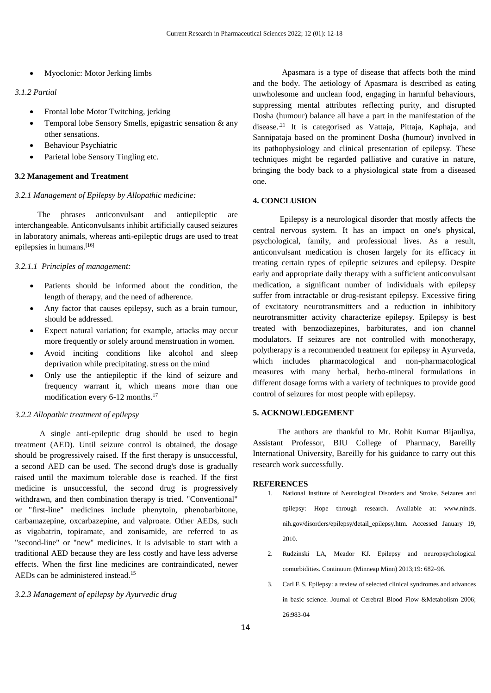Myoclonic: Motor Jerking limbs

#### *3.1.2 Partial*

- Frontal lobe Motor Twitching, jerking
- Temporal lobe Sensory Smells, epigastric sensation & any other sensations.
- Behaviour Psychiatric
- Parietal lobe Sensory Tingling etc.

#### **3.2 Management and Treatment**

#### *3.2.1 Management of Epilepsy by Allopathic medicine:*

The phrases anticonvulsant and antiepileptic are interchangeable. Anticonvulsants inhibit artificially caused seizures in laboratory animals, whereas anti-epileptic drugs are used to treat epilepsies in humans.[16]

#### *3.2.1.1 Principles of management:*

- Patients should be informed about the condition, the length of therapy, and the need of adherence.
- Any factor that causes epilepsy, such as a brain tumour, should be addressed.
- Expect natural variation; for example, attacks may occur more frequently or solely around menstruation in women.
- Avoid inciting conditions like alcohol and sleep deprivation while precipitating. stress on the mind
- Only use the antiepileptic if the kind of seizure and frequency warrant it, which means more than one modification every 6-12 months.<sup>17</sup>

#### *3.2.2 Allopathic treatment of epilepsy*

 A single anti-epileptic drug should be used to begin treatment (AED). Until seizure control is obtained, the dosage should be progressively raised. If the first therapy is unsuccessful, a second AED can be used. The second drug's dose is gradually raised until the maximum tolerable dose is reached. If the first medicine is unsuccessful, the second drug is progressively withdrawn, and then combination therapy is tried. "Conventional" or "first-line" medicines include phenytoin, phenobarbitone, carbamazepine, oxcarbazepine, and valproate. Other AEDs, such as vigabatrin, topiramate, and zonisamide, are referred to as "second-line" or "new" medicines. It is advisable to start with a traditional AED because they are less costly and have less adverse effects. When the first line medicines are contraindicated, newer AEDs can be administered instead.<sup>15</sup>

*3.2.3 Management of epilepsy by Ayurvedic drug* 

 Apasmara is a type of disease that affects both the mind and the body. The aetiology of Apasmara is described as eating unwholesome and unclean food, engaging in harmful behaviours, suppressing mental attributes reflecting purity, and disrupted Dosha (humour) balance all have a part in the manifestation of the disease.<sup>21</sup> It is categorised as Vattaja, Pittaja, Kaphaja, and Sannipataja based on the prominent Dosha (humour) involved in its pathophysiology and clinical presentation of epilepsy. These techniques might be regarded palliative and curative in nature, bringing the body back to a physiological state from a diseased one.

#### **4. CONCLUSION**

Epilepsy is a neurological disorder that mostly affects the central nervous system. It has an impact on one's physical, psychological, family, and professional lives. As a result, anticonvulsant medication is chosen largely for its efficacy in treating certain types of epileptic seizures and epilepsy. Despite early and appropriate daily therapy with a sufficient anticonvulsant medication, a significant number of individuals with epilepsy suffer from intractable or drug-resistant epilepsy. Excessive firing of excitatory neurotransmitters and a reduction in inhibitory neurotransmitter activity characterize epilepsy. Epilepsy is best treated with benzodiazepines, barbiturates, and ion channel modulators. If seizures are not controlled with monotherapy, polytherapy is a recommended treatment for epilepsy in Ayurveda, which includes pharmacological and non-pharmacological measures with many herbal, herbo-mineral formulations in different dosage forms with a variety of techniques to provide good control of seizures for most people with epilepsy.

#### **5. ACKNOWLEDGEMENT**

 The authors are thankful to Mr. Rohit Kumar Bijauliya, Assistant Professor, BIU College of Pharmacy, Bareilly International University, Bareilly for his guidance to carry out this research work successfully.

#### **REFERENCES**

- 1. National Institute of Neurological Disorders and Stroke. Seizures and epilepsy: Hope through research. Available at: [www.ninds.](http://www.ninds/) nih.gov/disorders/epilepsy/detail\_epilepsy.htm. Accessed January 19, 2010.
- 2. Rudzinski LA, Meador KJ. Epilepsy and neuropsychological comorbidities. Continuum (Minneap Minn) 2013;19: 682–96.
- 3. Carl E S. Epilepsy: a review of selected clinical syndromes and advances in basic science. Journal of Cerebral Blood Flow &Metabolism 2006; 26:983-04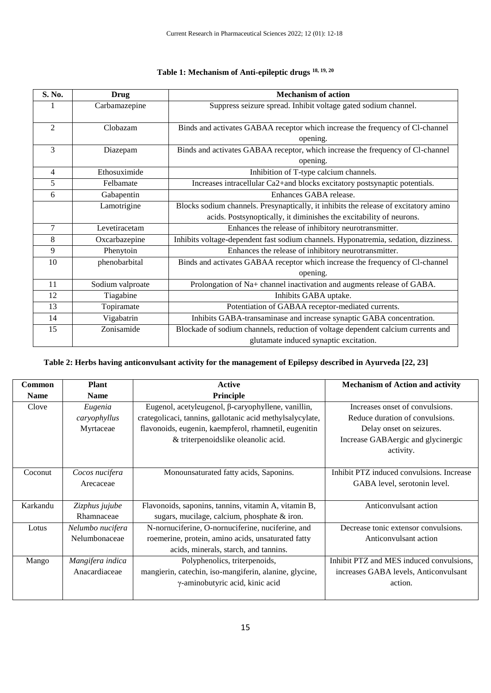| S. No.         | <b>Drug</b>      | <b>Mechanism of action</b>                                                           |  |
|----------------|------------------|--------------------------------------------------------------------------------------|--|
|                | Carbamazepine    | Suppress seizure spread. Inhibit voltage gated sodium channel.                       |  |
|                |                  |                                                                                      |  |
| $\overline{2}$ | Clobazam         | Binds and activates GABAA receptor which increase the frequency of Cl-channel        |  |
|                |                  | opening.                                                                             |  |
| 3              | Diazepam         | Binds and activates GABAA receptor, which increase the frequency of Cl-channel       |  |
|                |                  | opening.                                                                             |  |
| 4              | Ethosuximide     | Inhibition of T-type calcium channels.                                               |  |
| 5              | Felbamate        | Increases intracellular Ca2+and blocks excitatory postsynaptic potentials.           |  |
| 6              | Gabapentin       | Enhances GABA release.                                                               |  |
|                | Lamotrigine      | Blocks sodium channels. Presynaptically, it inhibits the release of excitatory amino |  |
|                |                  | acids. Postsynoptically, it diminishes the excitability of neurons.                  |  |
| 7              | Levetiracetam    | Enhances the release of inhibitory neurotransmitter.                                 |  |
| 8              | Oxcarbazepine    | Inhibits voltage-dependent fast sodium channels. Hyponatremia, sedation, dizziness.  |  |
| 9              | Phenytoin        | Enhances the release of inhibitory neurotransmitter.                                 |  |
| 10             | phenobarbital    | Binds and activates GABAA receptor which increase the frequency of Cl-channel        |  |
|                |                  | opening.                                                                             |  |
| 11             | Sodium valproate | Prolongation of Na+ channel inactivation and augments release of GABA.               |  |
| 12             | Tiagabine        | Inhibits GABA uptake.                                                                |  |
| 13             | Topiramate       | Potentiation of GABAA receptor-mediated currents.                                    |  |
| 14             | Vigabatrin       | Inhibits GABA-transaminase and increase synaptic GABA concentration.                 |  |
| 15             | Zonisamide       | Blockade of sodium channels, reduction of voltage dependent calcium currents and     |  |
|                |                  | glutamate induced synaptic excitation.                                               |  |

# **Table 1: Mechanism of Anti-epileptic drugs 18, 19, 20**

### **Table 2: Herbs having anticonvulsant activity for the management of Epilepsy described in Ayurveda [22, 23]**

| Common                                     | <b>Plant</b>                                                  | <b>Active</b>                                             | <b>Mechanism of Action and activity</b>   |
|--------------------------------------------|---------------------------------------------------------------|-----------------------------------------------------------|-------------------------------------------|
| <b>Name</b>                                | <b>Name</b>                                                   | Principle                                                 |                                           |
| Clove                                      | Eugenol, acetyleugenol, β-caryophyllene, vanillin,<br>Eugenia |                                                           | Increases onset of convulsions.           |
|                                            | caryophyllus                                                  | crategolicaci, tannins, gallotanic acid methylsalycylate, | Reduce duration of convulsions.           |
| Myrtaceae                                  |                                                               | flavonoids, eugenin, kaempferol, rhamnetil, eugenitin     | Delay onset on seizures.                  |
|                                            |                                                               | & triterpenoidslike oleanolic acid.                       | Increase GABAergic and glycinergic        |
|                                            |                                                               |                                                           | activity.                                 |
|                                            |                                                               |                                                           |                                           |
| Coconut<br>Cocos nucifera                  |                                                               | Monounsaturated fatty acids, Saponins.                    | Inhibit PTZ induced convulsions. Increase |
|                                            | Arecaceae                                                     |                                                           | GABA level, serotonin level.              |
|                                            |                                                               |                                                           |                                           |
| Karkandu<br>Zizphus jujube                 |                                                               | Flavonoids, saponins, tannins, vitamin A, vitamin B,      | Anticonvulsant action                     |
|                                            | Rhamnaceae                                                    | sugars, mucilage, calcium, phosphate $\&$ iron.           |                                           |
| Lotus<br>Nelumbo nucifera<br>Nelumbonaceae |                                                               | N-nornuciferine, O-nornuciferine, nuciferine, and         | Decrease tonic extensor convulsions.      |
|                                            |                                                               | roemerine, protein, amino acids, unsaturated fatty        | Anticonvulsant action                     |
|                                            |                                                               | acids, minerals, starch, and tannins.                     |                                           |
| Mango                                      | Mangifera indica                                              | Polyphenolics, triterpenoids,                             | Inhibit PTZ and MES induced convulsions,  |
|                                            | Anacardiaceae                                                 | mangierin, catechin, iso-mangiferin, alanine, glycine,    | increases GABA levels, Anticonvulsant     |
|                                            |                                                               | γ-aminobutyric acid, kinic acid                           | action.                                   |
|                                            |                                                               |                                                           |                                           |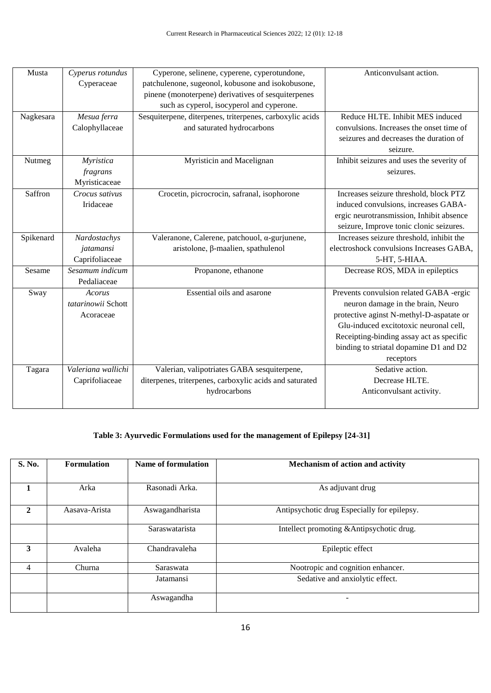| Musta                                            | Cyperus rotundus   | Cyperone, selinene, cyperene, cyperotundone,             | Anticonvulsant action.                    |
|--------------------------------------------------|--------------------|----------------------------------------------------------|-------------------------------------------|
|                                                  | Cyperaceae         | patchulenone, sugeonol, kobusone and isokobusone,        |                                           |
|                                                  |                    | pinene (monoterpene) derivatives of sesquiterpenes       |                                           |
|                                                  |                    | such as cyperol, isocyperol and cyperone.                |                                           |
| Nagkesara                                        | Mesua ferra        | Sesquiterpene, diterpenes, triterpenes, carboxylic acids | Reduce HLTE. Inhibit MES induced          |
|                                                  | Calophyllaceae     | and saturated hydrocarbons                               | convulsions. Increases the onset time of  |
|                                                  |                    |                                                          | seizures and decreases the duration of    |
|                                                  |                    |                                                          | seizure.                                  |
| Myristica<br>Nutmeg                              |                    | Myristicin and Macelignan                                | Inhibit seizures and uses the severity of |
|                                                  | fragrans           |                                                          | seizures.                                 |
|                                                  | Myristicaceae      |                                                          |                                           |
| Saffron<br>Crocus sativus                        |                    | Crocetin, picrocrocin, safranal, isophorone              | Increases seizure threshold, block PTZ    |
|                                                  | Iridaceae          |                                                          | induced convulsions, increases GABA-      |
|                                                  |                    |                                                          | ergic neurotransmission, Inhibit absence  |
|                                                  |                    |                                                          | seizure, Improve tonic clonic seizures.   |
| Spikenard                                        | Nardostachys       | Valeranone, Calerene, patchouol, α-gurjunene,            | Increases seizure threshold, inhibit the  |
|                                                  | jatamansi          | aristolone, β-maalien, spathulenol                       | electroshock convulsions Increases GABA,  |
|                                                  | Caprifoliaceae     |                                                          | 5-HT, 5-HIAA.                             |
| Sesamum indicum<br>Sesame<br>Propanone, ethanone |                    | Decrease ROS, MDA in epileptics                          |                                           |
|                                                  | Pedaliaceae        |                                                          |                                           |
| Sway                                             | Acorus             | Essential oils and asarone                               | Prevents convulsion related GABA -ergic   |
|                                                  | tatarinowii Schott |                                                          | neuron damage in the brain, Neuro         |
|                                                  | Acoraceae          |                                                          | protective aginst N-methyl-D-aspatate or  |
|                                                  |                    |                                                          | Glu-induced excitotoxic neuronal cell,    |
|                                                  |                    |                                                          | Receipting-binding assay act as specific  |
|                                                  |                    |                                                          | binding to striatal dopamine D1 and D2    |
|                                                  |                    |                                                          | receptors                                 |
| Tagara                                           | Valeriana wallichi | Valerian, valipotriates GABA sesquiterpene,              | Sedative action.                          |
|                                                  | Caprifoliaceae     | diterpenes, triterpenes, carboxylic acids and saturated  | Decrease HLTE.                            |
|                                                  |                    | hydrocarbons                                             | Anticonvulsant activity.                  |
|                                                  |                    |                                                          |                                           |

## **Table 3: Ayurvedic Formulations used for the management of Epilepsy [24-31]**

| S. No.         | <b>Formulation</b> | <b>Name of formulation</b> | Mechanism of action and activity            |
|----------------|--------------------|----------------------------|---------------------------------------------|
|                |                    |                            |                                             |
| 1              | Arka               | Rasonadi Arka.             | As adjuvant drug                            |
| $\mathbf{2}$   | Aasava-Arista      | Aswagandharista            | Antipsychotic drug Especially for epilepsy. |
|                |                    | Saraswatarista             | Intellect promoting & Antipsychotic drug.   |
| 3              | Avaleha            | Chandravaleha              | Epileptic effect                            |
| $\overline{4}$ | Churna             | Saraswata                  | Nootropic and cognition enhancer.           |
|                |                    | Jatamansi                  | Sedative and anxiolytic effect.             |
|                |                    | Aswagandha                 |                                             |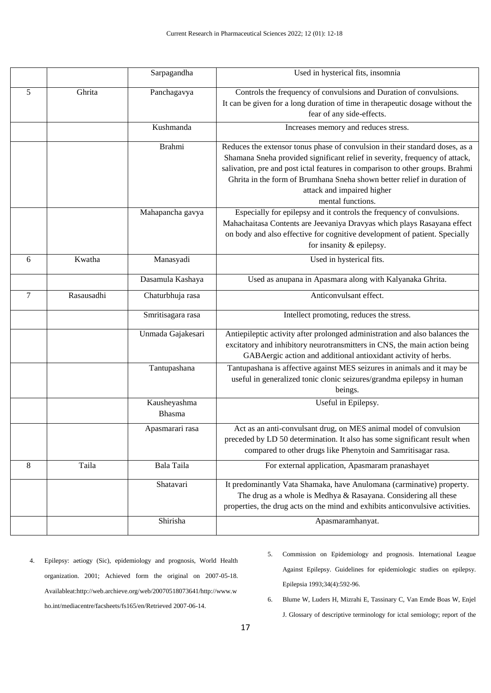|                |            | Sarpagandha            | Used in hysterical fits, insomnia                                                                                                                                                                                                                                                                                                                                          |
|----------------|------------|------------------------|----------------------------------------------------------------------------------------------------------------------------------------------------------------------------------------------------------------------------------------------------------------------------------------------------------------------------------------------------------------------------|
| 5              | Ghrita     | Panchagavya            | Controls the frequency of convulsions and Duration of convulsions.<br>It can be given for a long duration of time in the rapeutic dosage without the<br>fear of any side-effects.                                                                                                                                                                                          |
|                |            | Kushmanda              | Increases memory and reduces stress.                                                                                                                                                                                                                                                                                                                                       |
|                |            | <b>Brahmi</b>          | Reduces the extensor tonus phase of convulsion in their standard doses, as a<br>Shamana Sneha provided significant relief in severity, frequency of attack,<br>salivation, pre and post ictal features in comparison to other groups. Brahmi<br>Ghrita in the form of Brumhana Sneha shown better relief in duration of<br>attack and impaired higher<br>mental functions. |
|                |            | Mahapancha gavya       | Especially for epilepsy and it controls the frequency of convulsions.<br>Mahachaitasa Contents are Jeevaniya Dravyas which plays Rasayana effect<br>on body and also effective for cognitive development of patient. Specially<br>for insanity & epilepsy.                                                                                                                 |
| 6              | Kwatha     | Manasyadi              | Used in hysterical fits.                                                                                                                                                                                                                                                                                                                                                   |
|                |            | Dasamula Kashaya       | Used as anupana in Apasmara along with Kalyanaka Ghrita.                                                                                                                                                                                                                                                                                                                   |
| $\overline{7}$ | Rasausadhi | Chaturbhuja rasa       | Anticonvulsant effect.                                                                                                                                                                                                                                                                                                                                                     |
|                |            | Smritisagara rasa      | Intellect promoting, reduces the stress.                                                                                                                                                                                                                                                                                                                                   |
|                |            | Unmada Gajakesari      | Antiepileptic activity after prolonged administration and also balances the<br>excitatory and inhibitory neurotransmitters in CNS, the main action being<br>GABAergic action and additional antioxidant activity of herbs.                                                                                                                                                 |
|                |            | Tantupashana           | Tantupashana is affective against MES seizures in animals and it may be<br>useful in generalized tonic clonic seizures/grandma epilepsy in human<br>beings.                                                                                                                                                                                                                |
|                |            | Kausheyashma<br>Bhasma | Useful in Epilepsy.                                                                                                                                                                                                                                                                                                                                                        |
|                |            | Apasmarari rasa        | Act as an anti-convulsant drug, on MES animal model of convulsion<br>preceded by LD 50 determination. It also has some significant result when<br>compared to other drugs like Phenytoin and Samritisagar rasa.                                                                                                                                                            |
| 8              | Taila      | Bala Taila             | For external application, Apasmaram pranashayet                                                                                                                                                                                                                                                                                                                            |
|                |            | Shatavari              | It predominantly Vata Shamaka, have Anulomana (carminative) property.<br>The drug as a whole is Medhya & Rasayana. Considering all these<br>properties, the drug acts on the mind and exhibits anticonvulsive activities.                                                                                                                                                  |
|                |            | Shirisha               | Apasmaramhanyat.                                                                                                                                                                                                                                                                                                                                                           |

- 4. Epilepsy: aetiogy (Sic), epidemiology and prognosis, World Health organization. 2001; Achieved form the original on 2007-05-18. Availableat:http://web.archieve.org/web/20070518073641/http://www.w ho.int/mediacentre/facsheets/fs165/en/Retrieved 2007-06-14.
- 5. Commission on Epidemiology and prognosis. International League Against Epilepsy. Guidelines for epidemiologic studies on epilepsy. Epilepsia 1993;34(4):592-96.
- 6. Blume W, Luders H, Mizrahi E, Tassinary C, Van Emde Boas W, Enjel

J. Glossary of descriptive terminology for ictal semiology; report of the